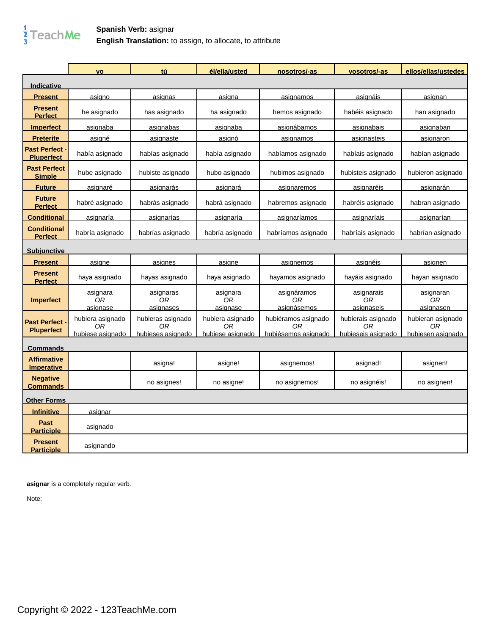

## **Spanish Verb:** asignar **English Translation:** to assign, to allocate, to attribute

|                                          | <b>VO</b>                  | tú                           | él/ella/usted              | nosotros/-as                     | vosotros/-as                   | ellos/ellas/ustedes                 |
|------------------------------------------|----------------------------|------------------------------|----------------------------|----------------------------------|--------------------------------|-------------------------------------|
| <u>Indicative</u>                        |                            |                              |                            |                                  |                                |                                     |
| <b>Present</b>                           | asigno                     | asignas                      | asigna                     | asignamos                        | asignáis                       | asignan                             |
| <b>Present</b><br><b>Perfect</b>         | he asignado                | has asignado                 | ha asignado                | hemos asignado                   | habéis asignado                | han asignado                        |
| <b>Imperfect</b>                         | asignaba                   | asignabas                    | asignaba                   | asignábamos                      | asignabais                     | asignaban                           |
| <b>Preterite</b>                         | asigné                     | asignaste                    | asignó                     | asignamos                        | asignasteis                    | asignaron                           |
| <b>Past Perfect</b><br><b>Pluperfect</b> | había asignado             | habías asignado              | había asignado             | habíamos asignado                | habíais asignado               | habían asignado                     |
| <b>Past Perfect</b><br><b>Simple</b>     | hube asignado              | hubiste asignado             | hubo asignado              | hubimos asignado                 | hubisteis asignado             | hubieron asignado                   |
| <b>Future</b>                            | asignaré                   | asignarás                    | <u>asignará</u>            | <u>asignaremos</u>               | asignaréis                     | <u>asignarán</u>                    |
| <b>Future</b><br><b>Perfect</b>          | habré asignado             | habrás asignado              | habrá asignado             | habremos asignado                | habréis asignado               | habran asignado                     |
| <b>Conditional</b>                       | asignaría                  | asignarías                   | asignaría                  | asignaríamos                     | asignaríais                    | asignarían                          |
| <b>Conditional</b><br><b>Perfect</b>     | habría asignado            | habrías asignado             | habría asignado            | habríamos asignado               | habríais asignado              | habrían asignado                    |
| <b>Subjunctive</b>                       |                            |                              |                            |                                  |                                |                                     |
| <b>Present</b>                           | asigne                     | asignes                      | asigne                     | asignemos                        | asignéis                       | asignen                             |
| <b>Present</b><br><b>Perfect</b>         | haya asignado              | hayas asignado               | haya asignado              | hayamos asignado                 | hayáis asignado                | hayan asignado                      |
| <b>Imperfect</b>                         | asignara<br>0R<br>asignase | asignaras<br>0R<br>asignases | asignara<br>0R<br>asignase | asignáramos<br>0R<br>asignásemos | asignarais<br>0R<br>asignaseis | asignaran<br>0R<br>asignasen        |
| <b>Past Perfect</b><br><b>Pluperfect</b> | hubiera asignado<br>0R     | hubieras asignado<br>0R      | hubiera asignado<br>0R     | hubiéramos asignado<br>0R        | hubierais asignado<br>0R       | hubieran asignado<br>0 <sub>R</sub> |
| Commands                                 | hubiese asignado           | hubieses asignado            | hubiese asignado           | hubiésemos asignado              | hubieseis asignado             | hubiesen asignado                   |
| <b>Affirmative</b><br><b>Imperative</b>  |                            | asigna!                      | asigne!                    | asignemos!                       | asignad!                       | asignen!                            |
| <b>Negative</b><br><b>Commands</b>       |                            | no asignes!                  | no asigne!                 | no asignemos!                    | no asignéis!                   | no asignen!                         |
| <b>Other Forms</b>                       |                            |                              |                            |                                  |                                |                                     |
| <b>Infinitive</b>                        | asignar                    |                              |                            |                                  |                                |                                     |
| Past<br><b>Participle</b>                | asignado                   |                              |                            |                                  |                                |                                     |
| <b>Present</b><br><b>Participle</b>      | asignando                  |                              |                            |                                  |                                |                                     |

**asignar** is a completely regular verb.

Note: